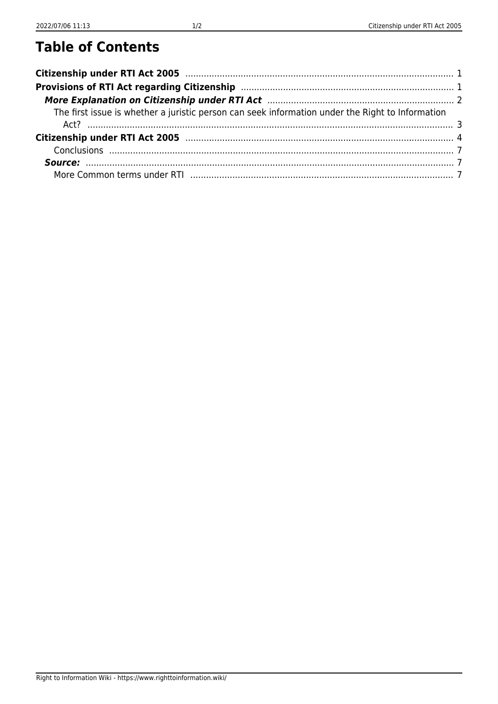## **Table of Contents**

| The first issue is whether a juristic person can seek information under the Right to Information |  |
|--------------------------------------------------------------------------------------------------|--|
|                                                                                                  |  |
|                                                                                                  |  |
|                                                                                                  |  |
|                                                                                                  |  |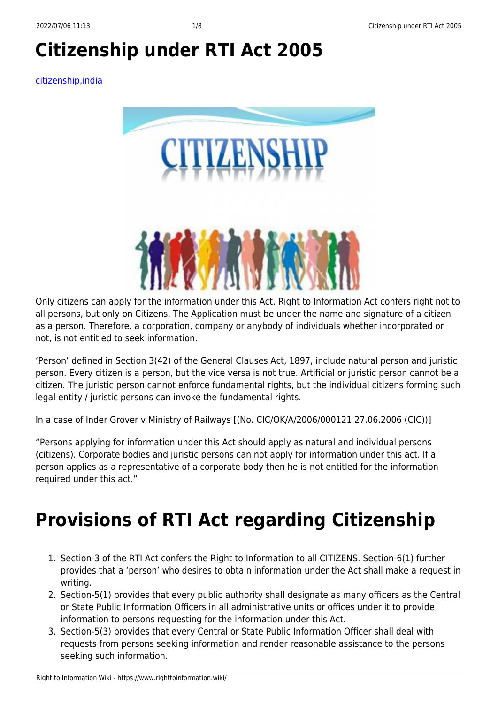# <span id="page-2-0"></span>**Citizenship under RTI Act 2005**

#### [citizenship,india](https://www.righttoinformation.wiki/tag/citizenship-india?do=showtag&tag=citizenship%2Cindia)



Only citizens can apply for the information under this Act. Right to Information Act confers right not to all persons, but only on Citizens. The Application must be under the name and signature of a citizen as a person. Therefore, a corporation, company or anybody of individuals whether incorporated or not, is not entitled to seek information.

'Person' defined in Section 3(42) of the General Clauses Act, 1897, include natural person and juristic person. Every citizen is a person, but the vice versa is not true. Artificial or juristic person cannot be a citizen. The juristic person cannot enforce fundamental rights, but the individual citizens forming such legal entity / juristic persons can invoke the fundamental rights.

In a case of Inder Grover v Ministry of Railways [(No. CIC/OK/A/2006/000121 27.06.2006 (CIC))]

"Persons applying for information under this Act should apply as natural and individual persons (citizens). Corporate bodies and juristic persons can not apply for information under this act. If a person applies as a representative of a corporate body then he is not entitled for the information required under this act."

## <span id="page-2-1"></span>**Provisions of RTI Act regarding Citizenship**

- 1. Section-3 of the RTI Act confers the Right to Information to all CITIZENS. Section-6(1) further provides that a 'person' who desires to obtain information under the Act shall make a request in writing.
- 2. Section-5(1) provides that every public authority shall designate as many officers as the Central or State Public Information Officers in all administrative units or offices under it to provide information to persons requesting for the information under this Act.
- 3. Section-5(3) provides that every Central or State Public Information Officer shall deal with requests from persons seeking information and render reasonable assistance to the persons seeking such information.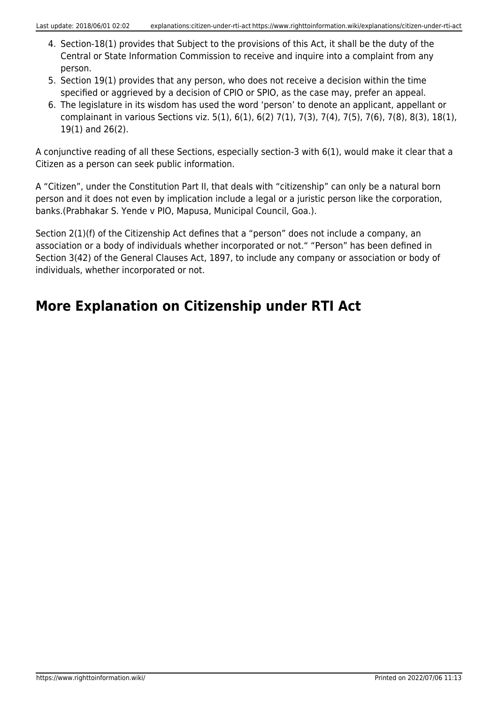- 4. Section-18(1) provides that Subject to the provisions of this Act, it shall be the duty of the Central or State Information Commission to receive and inquire into a complaint from any person.
- 5. Section 19(1) provides that any person, who does not receive a decision within the time specified or aggrieved by a decision of CPIO or SPIO, as the case may, prefer an appeal.
- 6. The legislature in its wisdom has used the word 'person' to denote an applicant, appellant or complainant in various Sections viz. 5(1), 6(1), 6(2) 7(1), 7(3), 7(4), 7(5), 7(6), 7(8), 8(3), 18(1), 19(1) and 26(2).

A conjunctive reading of all these Sections, especially section-3 with 6(1), would make it clear that a Citizen as a person can seek public information.

A "Citizen", under the Constitution Part II, that deals with "citizenship" can only be a natural born person and it does not even by implication include a legal or a juristic person like the corporation, banks.(Prabhakar S. Yende v PIO, Mapusa, Municipal Council, Goa.).

Section 2(1)(f) of the Citizenship Act defines that a "person" does not include a company, an association or a body of individuals whether incorporated or not." "Person" has been defined in Section 3(42) of the General Clauses Act, 1897, to include any company or association or body of individuals, whether incorporated or not.

## <span id="page-3-0"></span>**More Explanation on Citizenship under RTI Act**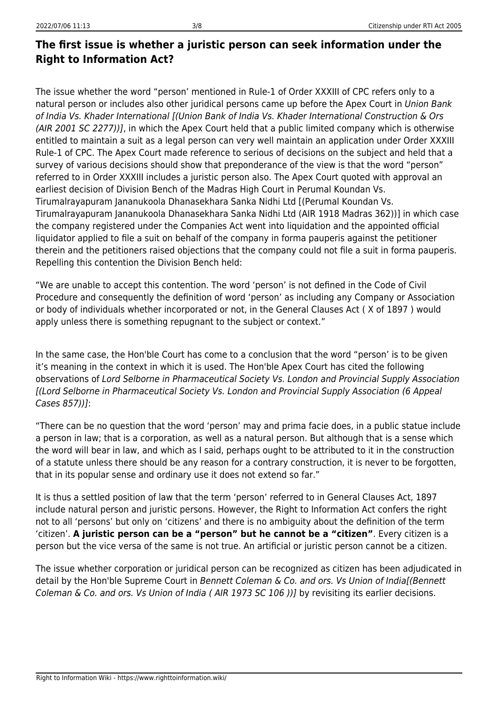### <span id="page-4-0"></span>**The first issue is whether a juristic person can seek information under the Right to Information Act?**

The issue whether the word "person' mentioned in Rule-1 of Order XXXIII of CPC refers only to a natural person or includes also other juridical persons came up before the Apex Court in Union Bank of India Vs. Khader International [(Union Bank of India Vs. Khader International Construction & Ors (AIR 2001 SC 2277))], in which the Apex Court held that a public limited company which is otherwise entitled to maintain a suit as a legal person can very well maintain an application under Order XXXIII Rule-1 of CPC. The Apex Court made reference to serious of decisions on the subject and held that a survey of various decisions should show that preponderance of the view is that the word "person" referred to in Order XXXIII includes a juristic person also. The Apex Court quoted with approval an earliest decision of Division Bench of the Madras High Court in Perumal Koundan Vs. Tirumalrayapuram Jananukoola Dhanasekhara Sanka Nidhi Ltd [(Perumal Koundan Vs. Tirumalrayapuram Jananukoola Dhanasekhara Sanka Nidhi Ltd (AIR 1918 Madras 362))] in which case the company registered under the Companies Act went into liquidation and the appointed official liquidator applied to file a suit on behalf of the company in forma pauperis against the petitioner therein and the petitioners raised objections that the company could not file a suit in forma pauperis. Repelling this contention the Division Bench held:

"We are unable to accept this contention. The word 'person' is not defined in the Code of Civil Procedure and consequently the definition of word 'person' as including any Company or Association or body of individuals whether incorporated or not, in the General Clauses Act ( X of 1897 ) would apply unless there is something repugnant to the subject or context."

In the same case, the Hon'ble Court has come to a conclusion that the word "person' is to be given it's meaning in the context in which it is used. The Hon'ble Apex Court has cited the following observations of Lord Selborne in Pharmaceutical Society Vs. London and Provincial Supply Association [(Lord Selborne in Pharmaceutical Society Vs. London and Provincial Supply Association (6 Appeal Cases 857))]:

"There can be no question that the word 'person' may and prima facie does, in a public statue include a person in law; that is a corporation, as well as a natural person. But although that is a sense which the word will bear in law, and which as I said, perhaps ought to be attributed to it in the construction of a statute unless there should be any reason for a contrary construction, it is never to be forgotten, that in its popular sense and ordinary use it does not extend so far."

It is thus a settled position of law that the term 'person' referred to in General Clauses Act, 1897 include natural person and juristic persons. However, the Right to Information Act confers the right not to all 'persons' but only on 'citizens' and there is no ambiguity about the definition of the term 'citizen'. **A juristic person can be a "person" but he cannot be a "citizen"**. Every citizen is a person but the vice versa of the same is not true. An artificial or juristic person cannot be a citizen.

The issue whether corporation or juridical person can be recognized as citizen has been adjudicated in detail by the Hon'ble Supreme Court in Bennett Coleman & Co. and ors. Vs Union of India[(Bennett Coleman & Co. and ors. Vs Union of India ( AIR 1973 SC 106 ))] by revisiting its earlier decisions.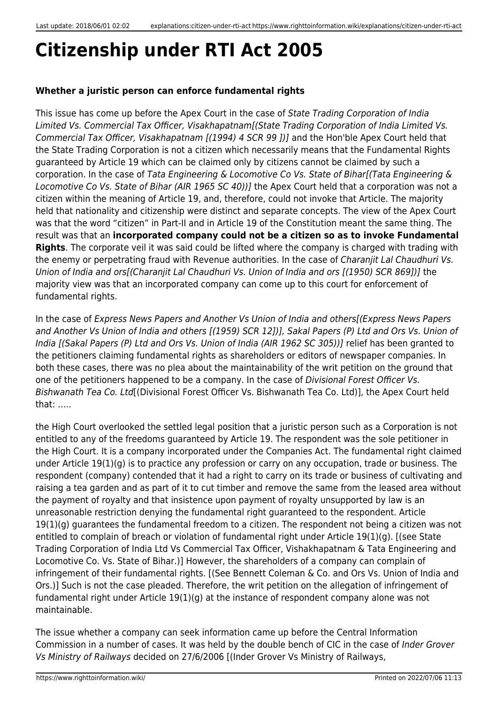# <span id="page-5-0"></span>**Citizenship under RTI Act 2005**

#### **Whether a juristic person can enforce fundamental rights**

This issue has come up before the Apex Court in the case of State Trading Corporation of India Limited Vs. Commercial Tax Officer, Visakhapatnam[(State Trading Corporation of India Limited Vs. Commercial Tax Officer, Visakhapatnam [(1994) 4 SCR 99 ])] and the Hon'ble Apex Court held that the State Trading Corporation is not a citizen which necessarily means that the Fundamental Rights guaranteed by Article 19 which can be claimed only by citizens cannot be claimed by such a corporation. In the case of Tata Engineering & Locomotive Co Vs. State of Bihar[(Tata Engineering & Locomotive Co Vs. State of Bihar (AIR 1965 SC 40))] the Apex Court held that a corporation was not a citizen within the meaning of Article 19, and, therefore, could not invoke that Article. The majority held that nationality and citizenship were distinct and separate concepts. The view of the Apex Court was that the word "citizen" in Part-II and in Article 19 of the Constitution meant the same thing. The result was that an **incorporated company could not be a citizen so as to invoke Fundamental Rights**. The corporate veil it was said could be lifted where the company is charged with trading with the enemy or perpetrating fraud with Revenue authorities. In the case of Charanjit Lal Chaudhuri Vs. Union of India and ors[(Charanjit Lal Chaudhuri Vs. Union of India and ors [(1950) SCR 869])] the majority view was that an incorporated company can come up to this court for enforcement of fundamental rights.

In the case of Express News Papers and Another Vs Union of India and others[(Express News Papers and Another Vs Union of India and others [(1959) SCR 12])], Sakal Papers (P) Ltd and Ors Vs. Union of India [(Sakal Papers (P) Ltd and Ors Vs. Union of India (AIR 1962 SC 305))] relief has been granted to the petitioners claiming fundamental rights as shareholders or editors of newspaper companies. In both these cases, there was no plea about the maintainability of the writ petition on the ground that one of the petitioners happened to be a company. In the case of Divisional Forest Officer Vs. Bishwanath Tea Co. Ltd[(Divisional Forest Officer Vs. Bishwanath Tea Co. Ltd)], the Apex Court held that: …..

the High Court overlooked the settled legal position that a juristic person such as a Corporation is not entitled to any of the freedoms guaranteed by Article 19. The respondent was the sole petitioner in the High Court. It is a company incorporated under the Companies Act. The fundamental right claimed under Article 19(1)(g) is to practice any profession or carry on any occupation, trade or business. The respondent (company) contended that it had a right to carry on its trade or business of cultivating and raising a tea garden and as part of it to cut timber and remove the same from the leased area without the payment of royalty and that insistence upon payment of royalty unsupported by law is an unreasonable restriction denying the fundamental right guaranteed to the respondent. Article 19(1)(g) guarantees the fundamental freedom to a citizen. The respondent not being a citizen was not entitled to complain of breach or violation of fundamental right under Article 19(1)(g). [(see State Trading Corporation of India Ltd Vs Commercial Tax Officer, Vishakhapatnam & Tata Engineering and Locomotive Co. Vs. State of Bihar.)] However, the shareholders of a company can complain of infringement of their fundamental rights. [(See Bennett Coleman & Co. and Ors Vs. Union of India and Ors.)] Such is not the case pleaded. Therefore, the writ petition on the allegation of infringement of fundamental right under Article 19(1)(g) at the instance of respondent company alone was not maintainable.

The issue whether a company can seek information came up before the Central Information Commission in a number of cases. It was held by the double bench of CIC in the case of Inder Grover Vs Ministry of Railways decided on 27/6/2006 [(Inder Grover Vs Ministry of Railways,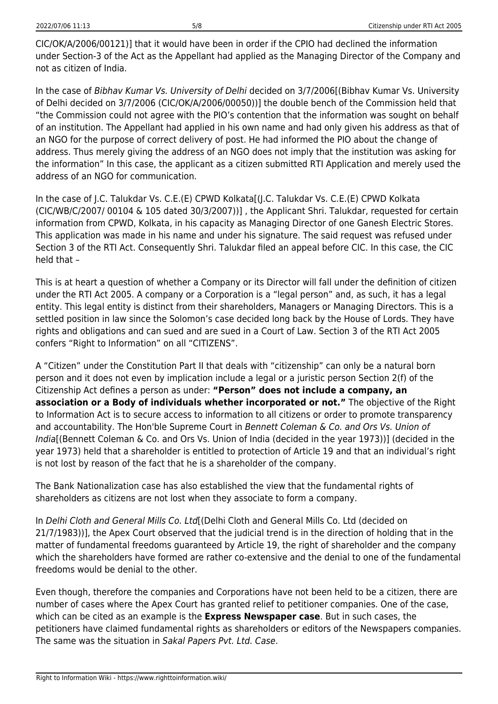CIC/OK/A/2006/00121)] that it would have been in order if the CPIO had declined the information under Section-3 of the Act as the Appellant had applied as the Managing Director of the Company and not as citizen of India.

In the case of Bibhav Kumar Vs. University of Delhi decided on 3/7/2006[(Bibhav Kumar Vs. University of Delhi decided on 3/7/2006 (CIC/OK/A/2006/00050))] the double bench of the Commission held that "the Commission could not agree with the PIO's contention that the information was sought on behalf of an institution. The Appellant had applied in his own name and had only given his address as that of an NGO for the purpose of correct delivery of post. He had informed the PIO about the change of address. Thus merely giving the address of an NGO does not imply that the institution was asking for the information" In this case, the applicant as a citizen submitted RTI Application and merely used the address of an NGO for communication.

In the case of J.C. Talukdar Vs. C.E.(E) CPWD Kolkata[(J.C. Talukdar Vs. C.E.(E) CPWD Kolkata (CIC/WB/C/2007/ 00104 & 105 dated 30/3/2007))] , the Applicant Shri. Talukdar, requested for certain information from CPWD, Kolkata, in his capacity as Managing Director of one Ganesh Electric Stores. This application was made in his name and under his signature. The said request was refused under Section 3 of the RTI Act. Consequently Shri. Talukdar filed an appeal before CIC. In this case, the CIC held that –

This is at heart a question of whether a Company or its Director will fall under the definition of citizen under the RTI Act 2005. A company or a Corporation is a "legal person" and, as such, it has a legal entity. This legal entity is distinct from their shareholders, Managers or Managing Directors. This is a settled position in law since the Solomon's case decided long back by the House of Lords. They have rights and obligations and can sued and are sued in a Court of Law. Section 3 of the RTI Act 2005 confers "Right to Information" on all "CITIZENS".

A "Citizen" under the Constitution Part II that deals with "citizenship" can only be a natural born person and it does not even by implication include a legal or a juristic person Section 2(f) of the Citizenship Act defines a person as under: **"Person" does not include a company, an association or a Body of individuals whether incorporated or not."** The objective of the Right to Information Act is to secure access to information to all citizens or order to promote transparency and accountability. The Hon'ble Supreme Court in Bennett Coleman & Co. and Ors Vs. Union of India[(Bennett Coleman & Co. and Ors Vs. Union of India (decided in the year 1973))] (decided in the year 1973) held that a shareholder is entitled to protection of Article 19 and that an individual's right is not lost by reason of the fact that he is a shareholder of the company.

The Bank Nationalization case has also established the view that the fundamental rights of shareholders as citizens are not lost when they associate to form a company.

In Delhi Cloth and General Mills Co. Ltd[(Delhi Cloth and General Mills Co. Ltd (decided on 21/7/1983))], the Apex Court observed that the judicial trend is in the direction of holding that in the matter of fundamental freedoms guaranteed by Article 19, the right of shareholder and the company which the shareholders have formed are rather co-extensive and the denial to one of the fundamental freedoms would be denial to the other.

Even though, therefore the companies and Corporations have not been held to be a citizen, there are number of cases where the Apex Court has granted relief to petitioner companies. One of the case, which can be cited as an example is the **Express Newspaper case**. But in such cases, the petitioners have claimed fundamental rights as shareholders or editors of the Newspapers companies. The same was the situation in Sakal Papers Pvt. Ltd. Case.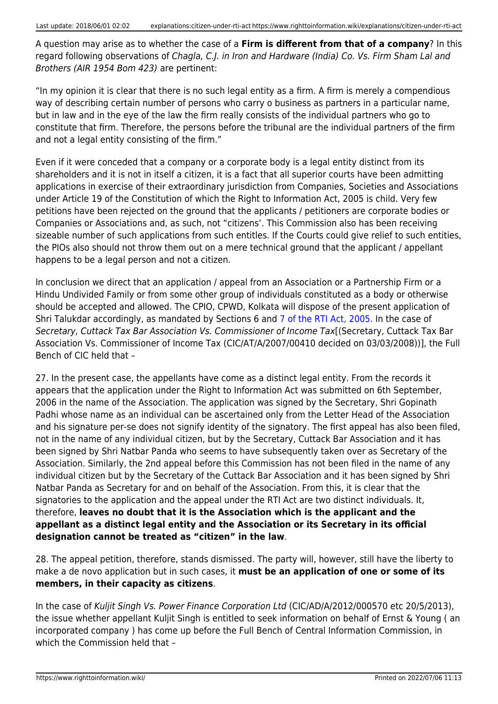A question may arise as to whether the case of a **Firm is different from that of a company**? In this regard following observations of Chagla, C.J. in Iron and Hardware (India) Co. Vs. Firm Sham Lal and Brothers (AIR 1954 Bom 423) are pertinent:

"In my opinion it is clear that there is no such legal entity as a firm. A firm is merely a compendious way of describing certain number of persons who carry o business as partners in a particular name, but in law and in the eye of the law the firm really consists of the individual partners who go to constitute that firm. Therefore, the persons before the tribunal are the individual partners of the firm and not a legal entity consisting of the firm."

Even if it were conceded that a company or a corporate body is a legal entity distinct from its shareholders and it is not in itself a citizen, it is a fact that all superior courts have been admitting applications in exercise of their extraordinary jurisdiction from Companies, Societies and Associations under Article 19 of the Constitution of which the Right to Information Act, 2005 is child. Very few petitions have been rejected on the ground that the applicants / petitioners are corporate bodies or Companies or Associations and, as such, not "citizens'. This Commission also has been receiving sizeable number of such applications from such entitles. If the Courts could give relief to such entities, the PIOs also should not throw them out on a mere technical ground that the applicant / appellant happens to be a legal person and not a citizen.

In conclusion we direct that an application / appeal from an Association or a Partnership Firm or a Hindu Undivided Family or from some other group of individuals constituted as a body or otherwise should be accepted and allowed. The CPIO, CPWD, Kolkata will dispose of the present application of Shri Talukdar accordingly, as mandated by Sections 6 and [7 of the RTI Act, 2005.](https://www.righttoinformation.wiki/act) In the case of Secretary, Cuttack Tax Bar Association Vs. Commissioner of Income Tax[(Secretary, Cuttack Tax Bar Association Vs. Commissioner of Income Tax (CIC/AT/A/2007/00410 decided on 03/03/2008))], the Full Bench of CIC held that –

27. In the present case, the appellants have come as a distinct legal entity. From the records it appears that the application under the Right to Information Act was submitted on 6th September, 2006 in the name of the Association. The application was signed by the Secretary, Shri Gopinath Padhi whose name as an individual can be ascertained only from the Letter Head of the Association and his signature per-se does not signify identity of the signatory. The first appeal has also been filed, not in the name of any individual citizen, but by the Secretary, Cuttack Bar Association and it has been signed by Shri Natbar Panda who seems to have subsequently taken over as Secretary of the Association. Similarly, the 2nd appeal before this Commission has not been filed in the name of any individual citizen but by the Secretary of the Cuttack Bar Association and it has been signed by Shri Natbar Panda as Secretary for and on behalf of the Association. From this, it is clear that the signatories to the application and the appeal under the RTI Act are two distinct individuals. It, therefore, **leaves no doubt that it is the Association which is the applicant and the appellant as a distinct legal entity and the Association or its Secretary in its official designation cannot be treated as "citizen" in the law**.

28. The appeal petition, therefore, stands dismissed. The party will, however, still have the liberty to make a de novo application but in such cases, it **must be an application of one or some of its members, in their capacity as citizens**.

In the case of Kuljit Singh Vs. Power Finance Corporation Ltd (CIC/AD/A/2012/000570 etc 20/5/2013), the issue whether appellant Kuljit Singh is entitled to seek information on behalf of Ernst & Young ( an incorporated company ) has come up before the Full Bench of Central Information Commission, in which the Commission held that –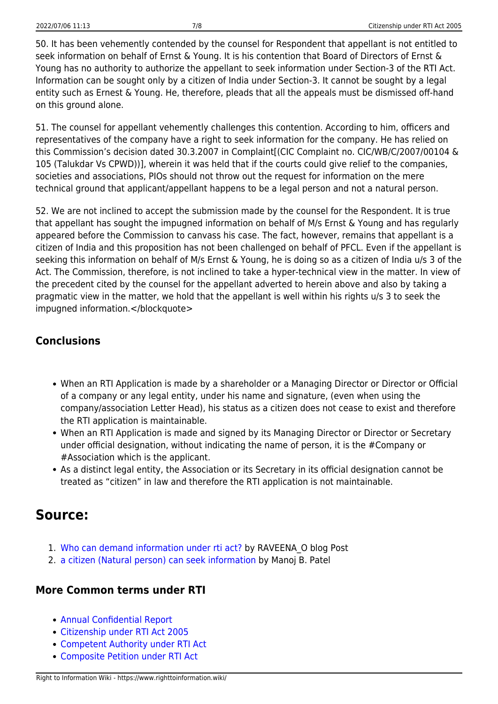50. It has been vehemently contended by the counsel for Respondent that appellant is not entitled to seek information on behalf of Ernst & Young. It is his contention that Board of Directors of Ernst & Young has no authority to authorize the appellant to seek information under Section-3 of the RTI Act. Information can be sought only by a citizen of India under Section-3. It cannot be sought by a legal entity such as Ernest & Young. He, therefore, pleads that all the appeals must be dismissed off-hand on this ground alone.

51. The counsel for appellant vehemently challenges this contention. According to him, officers and representatives of the company have a right to seek information for the company. He has relied on this Commission's decision dated 30.3.2007 in Complaint[(CIC Complaint no. CIC/WB/C/2007/00104 & 105 (Talukdar Vs CPWD))], wherein it was held that if the courts could give relief to the companies, societies and associations, PIOs should not throw out the request for information on the mere technical ground that applicant/appellant happens to be a legal person and not a natural person.

52. We are not inclined to accept the submission made by the counsel for the Respondent. It is true that appellant has sought the impugned information on behalf of M/s Ernst & Young and has regularly appeared before the Commission to canvass his case. The fact, however, remains that appellant is a citizen of India and this proposition has not been challenged on behalf of PFCL. Even if the appellant is seeking this information on behalf of M/s Ernst & Young, he is doing so as a citizen of India u/s 3 of the Act. The Commission, therefore, is not inclined to take a hyper-technical view in the matter. In view of the precedent cited by the counsel for the appellant adverted to herein above and also by taking a pragmatic view in the matter, we hold that the appellant is well within his rights u/s 3 to seek the impugned information.</blockquote>

### <span id="page-8-0"></span>**Conclusions**

- When an RTI Application is made by a shareholder or a Managing Director or Director or Official of a company or any legal entity, under his name and signature, (even when using the company/association Letter Head), his status as a citizen does not cease to exist and therefore the RTI application is maintainable.
- When an RTI Application is made and signed by its Managing Director or Director or Secretary under official designation, without indicating the name of person, it is the #Company or #Association which is the applicant.
- As a distinct legal entity, the Association or its Secretary in its official designation cannot be treated as "citizen" in law and therefore the RTI application is not maintainable.

## <span id="page-8-1"></span>**Source:**

- 1. [Who can demand information under rti act?](http://www.rtiindia.org/forum/blogs/raveena_o/4410-who-can-demand-information-under-rti-act.html) by RAVEENA\_O blog Post
- 2. [a citizen \(Natural person\) can seek information](http://www.rtiindia.org/forum/blogs/manoj-b-patel/4602-defined-constitution-india-citizen-natural-person-can.html) by Manoj B. Patel

#### <span id="page-8-2"></span>**More Common terms under RTI**

- [Annual Confidential Report](https://www.righttoinformation.wiki/explanations/annual-confidential-report)
- [Citizenship under RTI Act 2005](https://www.righttoinformation.wiki/explanations/citizen-under-rti-act)
- [Competent Authority under RTI Act](https://www.righttoinformation.wiki/explanations/competent-authority)
- [Composite Petition under RTI Act](https://www.righttoinformation.wiki/explanations/composite-petition)